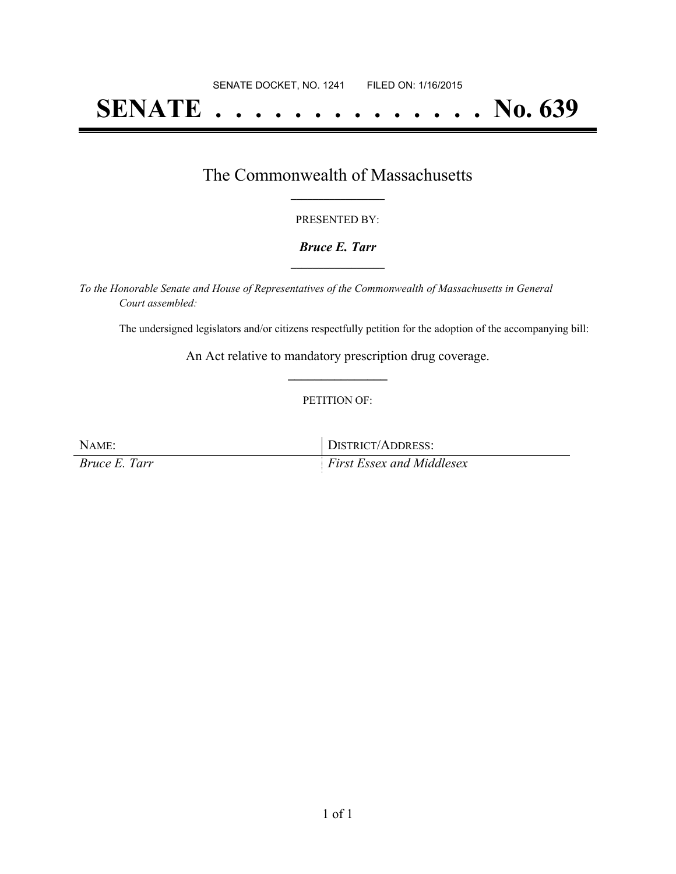# **SENATE . . . . . . . . . . . . . . No. 639**

### The Commonwealth of Massachusetts **\_\_\_\_\_\_\_\_\_\_\_\_\_\_\_\_\_**

#### PRESENTED BY:

#### *Bruce E. Tarr* **\_\_\_\_\_\_\_\_\_\_\_\_\_\_\_\_\_**

*To the Honorable Senate and House of Representatives of the Commonwealth of Massachusetts in General Court assembled:*

The undersigned legislators and/or citizens respectfully petition for the adoption of the accompanying bill:

An Act relative to mandatory prescription drug coverage. **\_\_\_\_\_\_\_\_\_\_\_\_\_\_\_**

#### PETITION OF:

NAME: DISTRICT/ADDRESS: *Bruce E. Tarr First Essex and Middlesex*